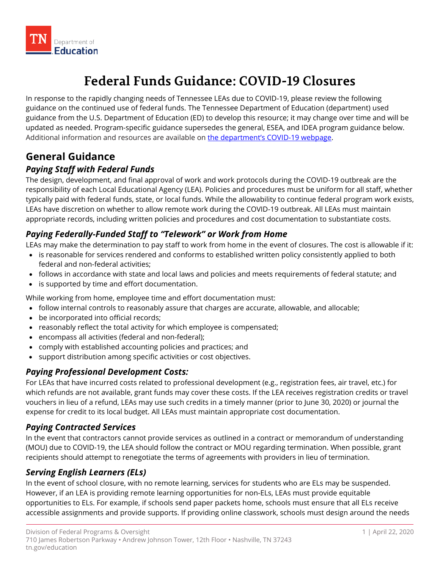

# **Federal Funds Guidance: COVID-19 Closures**

 In response to the rapidly changing needs of Tennessee LEAs due to COVID-19, please review the following guidance on the continued use of federal funds. The Tennessee Department of Education (department) used guidance from the U.S. Department of Education (ED) to develop this resource; it may change over time and will be Additional information and resources are available on <u>the department's COVID-19 webpage</u>. updated as needed. Program-specific guidance supersedes the general, ESEA, and IDEA program guidance below.

# **General Guidance**

### *Paying Staff with Federal Funds*

 The design, development, and final approval of work and work protocols during the COVID-19 outbreak are the typically paid with federal funds, state, or local funds. While the allowability to continue federal program work exists, responsibility of each Local Educational Agency (LEA). Policies and procedures must be uniform for all staff, whether LEAs have discretion on whether to allow remote work during the COVID-19 outbreak. All LEAs must maintain appropriate records, including written policies and procedures and cost documentation to substantiate costs.

### *Paying Federally-Funded Staff to "Telework" or Work from Home*

LEAs may make the determination to pay staff to work from home in the event of closures. The cost is allowable if it:

- is reasonable for services rendered and conforms to established written policy consistently applied to both federal and non-federal activities;
- follows in accordance with state and local laws and policies and meets requirements of federal statute; and
- is supported by time and effort documentation.

While working from home, employee time and effort documentation must:

- follow internal controls to reasonably assure that charges are accurate, allowable, and allocable;
- be incorporated into official records;
- reasonably reflect the total activity for which employee is compensated;
- encompass all activities (federal and non-federal);
- comply with established accounting policies and practices; and
- support distribution among specific activities or cost objectives.

#### *Paying Professional Development Costs:*

 For LEAs that have incurred costs related to professional development (e.g., registration fees, air travel, etc.) for which refunds are not available, grant funds may cover these costs. If the LEA receives registration credits or travel vouchers in lieu of a refund, LEAs may use such credits in a timely manner (prior to June 30, 2020) or journal the expense for credit to its local budget. All LEAs must maintain appropriate cost documentation.

#### *Paying Contracted Services*

In the event that contractors cannot provide services as outlined in a contract or memorandum of understanding (MOU) due to COVID-19, the LEA should follow the contract or MOU regarding termination. When possible, grant recipients should attempt to renegotiate the terms of agreements with providers in lieu of termination.

#### *Serving English Learners (ELs)*

 In the event of school closure, with no remote learning, services for students who are ELs may be suspended. However, if an LEA is providing remote learning opportunities for non-ELs, LEAs must provide equitable opportunities to ELs. For example, if schools send paper packets home, schools must ensure that all ELs receive accessible assignments and provide supports. If providing online classwork, schools must design around the needs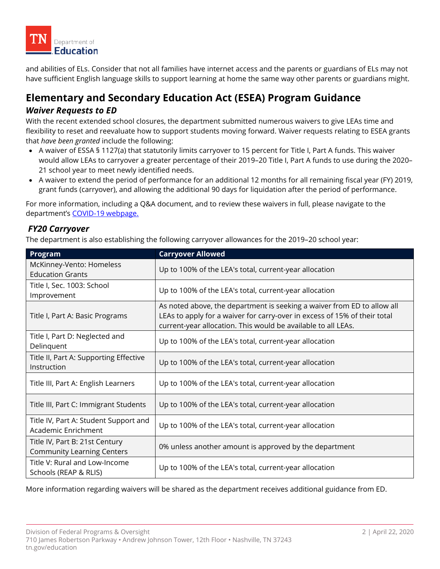

and abilities of ELs. Consider that not all families have internet access and the parents or guardians of ELs may not have sufficient English language skills to support learning at home the same way other parents or guardians might.

# **Elementary and Secondary Education Act (ESEA) Program Guidance**

#### *Waiver Requests to ED*

 With the recent extended school closures, the department submitted numerous waivers to give LEAs time and flexibility to reset and reevaluate how to support students moving forward. Waiver requests relating to ESEA grants that *have been granted* include the following:

- • A waiver of ESSA § 1127(a) that statutorily limits carryover to 15 percent for Title I, Part A funds. This waiver would allow LEAs to carryover a greater percentage of their 2019–20 Title I, Part A funds to use during the 2020– 21 school year to meet newly identified needs.
- • A waiver to extend the period of performance for an additional 12 months for all remaining fiscal year (FY) 2019, grant funds (carryover), and allowing the additional 90 days for liquidation after the period of performance.

department's <u>COVID-19 webpage.</u> For more information, including a Q&A document, and to review these waivers in full, please navigate to the

#### *FY20 Carryover*

The department is also establishing the following carryover allowances for the 2019–20 school year:

| Program                                                             | <b>Carryover Allowed</b>                                                                                                                                                                                              |  |  |  |  |
|---------------------------------------------------------------------|-----------------------------------------------------------------------------------------------------------------------------------------------------------------------------------------------------------------------|--|--|--|--|
| McKinney-Vento: Homeless<br><b>Education Grants</b>                 | Up to 100% of the LEA's total, current-year allocation                                                                                                                                                                |  |  |  |  |
| Title I, Sec. 1003: School<br>Improvement                           | Up to 100% of the LEA's total, current-year allocation                                                                                                                                                                |  |  |  |  |
| Title I, Part A: Basic Programs                                     | As noted above, the department is seeking a waiver from ED to allow all<br>LEAs to apply for a waiver for carry-over in excess of 15% of their total<br>current-year allocation. This would be available to all LEAs. |  |  |  |  |
| Title I, Part D: Neglected and<br>Delinquent                        | Up to 100% of the LEA's total, current-year allocation                                                                                                                                                                |  |  |  |  |
| Title II, Part A: Supporting Effective<br>Instruction               | Up to 100% of the LEA's total, current-year allocation                                                                                                                                                                |  |  |  |  |
| Title III, Part A: English Learners                                 | Up to 100% of the LEA's total, current-year allocation                                                                                                                                                                |  |  |  |  |
| Title III, Part C: Immigrant Students                               | Up to 100% of the LEA's total, current-year allocation                                                                                                                                                                |  |  |  |  |
| Title IV, Part A: Student Support and<br>Academic Enrichment        | Up to 100% of the LEA's total, current-year allocation                                                                                                                                                                |  |  |  |  |
| Title IV, Part B: 21st Century<br><b>Community Learning Centers</b> | 0% unless another amount is approved by the department                                                                                                                                                                |  |  |  |  |
| Title V: Rural and Low-Income<br>Schools (REAP & RLIS)              | Up to 100% of the LEA's total, current-year allocation                                                                                                                                                                |  |  |  |  |

More information regarding waivers will be shared as the department receives additional guidance from ED.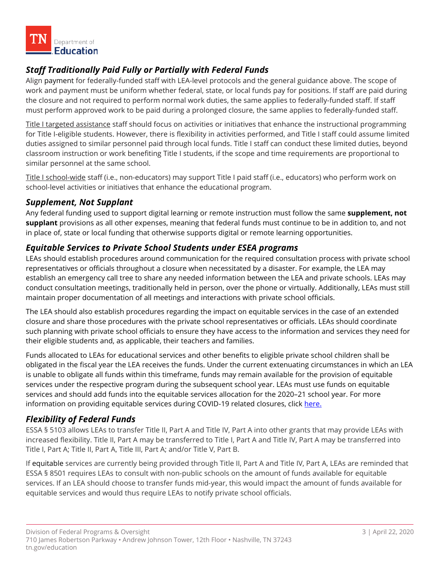

### *Staff Traditionally Paid Fully or Partially with Federal Funds*

 Align payment for federally-funded staff with LEA-level protocols and the general guidance above. The scope of must perform approved work to be paid during a prolonged closure, the same applies to federally-funded staff. work and payment must be uniform whether federal, state, or local funds pay for positions. If staff are paid during the closure and not required to perform normal work duties, the same applies to federally-funded staff. If staff

Title I targeted assistance staff should focus on activities or initiatives that enhance the instructional programming for Title I-eligible students. However, there is flexibility in activities performed, and Title I staff could assume limited duties assigned to similar personnel paid through local funds. Title I staff can conduct these limited duties, beyond classroom instruction or work benefiting Title I students, if the scope and time requirements are proportional to similar personnel at the same school.

<u>Title I school-wide</u> staff (i.e., non-educators) may support Title I paid staff (i.e., educators) who perform work on school-level activities or initiatives that enhance the educational program.

#### *Supplement, Not Supplant*

Any federal funding used to support digital learning or remote instruction must follow the same **supplement, not supplant** provisions as all other expenses, meaning that federal funds must continue to be in addition to, and not in place of, state or local funding that otherwise supports digital or remote learning opportunities.

#### *Equitable Services to Private School Students under ESEA programs*

 establish an emergency call tree to share any needed information between the LEA and private schools. LEAs may LEAs should establish procedures around communication for the required consultation process with private school representatives or officials throughout a closure when necessitated by a disaster. For example, the LEA may conduct consultation meetings, traditionally held in person, over the phone or virtually. Additionally, LEAs must still maintain proper documentation of all meetings and interactions with private school officials.

 The LEA should also establish procedures regarding the impact on equitable services in the case of an extended closure and share those procedures with the private school representatives or officials. LEAs should coordinate such planning with private school officials to ensure they have access to the information and services they need for their eligible students and, as applicable, their teachers and families.

Funds allocated to LEAs for educational services and other benefits to eligible private school children shall be obligated in the fiscal year the LEA receives the funds. Under the current extenuating circumstances in which an LEA is unable to obligate all funds within this timeframe, funds may remain available for the provision of equitable services under the respective program during the subsequent school year. LEAs must use funds on equitable services and should add funds into the equitable services allocation for the 2020–21 school year. For more information on providing equitable services during COVID-19 related closures, click here.

#### *Flexibility of Federal Funds*

 ESSA § 5103 allows LEAs to transfer Title II, Part A and Title IV, Part A into other grants that may provide LEAs with increased flexibility. Title II, Part A may be transferred to Title I, Part A and Title IV, Part A may be transferred into Title I, Part A; Title II, Part A, Title III, Part A; and/or Title V, Part B.

 services. If an LEA should choose to transfer funds mid-year, this would impact the amount of funds available for If equitable services are currently being provided through Title II, Part A and Title IV, Part A, LEAs are reminded that ESSA § 8501 requires LEAs to consult with non-public schools on the amount of funds available for equitable equitable services and would thus require LEAs to notify private school officials.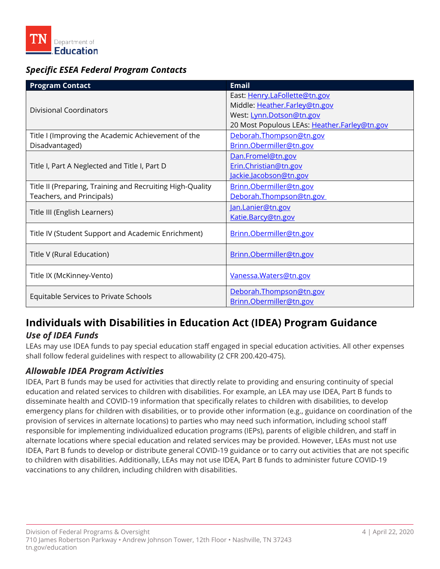

### *Specific ESEA Federal Program Contacts*

| <b>Program Contact</b>                                    | <b>Email</b>                                 |  |  |  |
|-----------------------------------------------------------|----------------------------------------------|--|--|--|
|                                                           | East: Henry.LaFollette@tn.gov                |  |  |  |
| <b>Divisional Coordinators</b>                            | Middle: Heather.Farley@tn.gov                |  |  |  |
|                                                           | West: Lynn.Dotson@tn.gov                     |  |  |  |
|                                                           | 20 Most Populous LEAs: Heather.Farley@tn.gov |  |  |  |
| Title I (Improving the Academic Achievement of the        | Deborah.Thompson@tn.gov                      |  |  |  |
| Disadvantaged)                                            | Brinn.Obermiller@tn.gov                      |  |  |  |
|                                                           | Dan.Fromel@tn.gov                            |  |  |  |
| Title I, Part A Neglected and Title I, Part D             | Erin.Christian@tn.gov                        |  |  |  |
|                                                           | Jackie.Jacobson@tn.gov                       |  |  |  |
| Title II (Preparing, Training and Recruiting High-Quality | Brinn.Obermiller@tn.gov                      |  |  |  |
| Teachers, and Principals)                                 | Deborah.Thompson@tn.gov                      |  |  |  |
| Title III (English Learners)                              | Jan.Lanier@tn.gov                            |  |  |  |
|                                                           | Katie.Barcy@tn.gov                           |  |  |  |
| Title IV (Student Support and Academic Enrichment)        | Brinn.Obermiller@tn.gov                      |  |  |  |
|                                                           |                                              |  |  |  |
| Title V (Rural Education)                                 | Brinn.Obermiller@tn.gov                      |  |  |  |
|                                                           |                                              |  |  |  |
| Title IX (McKinney-Vento)                                 | Vanessa. Waters@tn.gov                       |  |  |  |
|                                                           |                                              |  |  |  |
| Equitable Services to Private Schools                     | Deborah.Thompson@tn.gov                      |  |  |  |
|                                                           | Brinn.Obermiller@tn.gov                      |  |  |  |

## **Individuals with Disabilities in Education Act (IDEA) Program Guidance**  *Use of IDEA Funds*

LEAs may use IDEA funds to pay special education staff engaged in special education activities. All other expenses shall follow federal guidelines with respect to allowability (2 CFR 200.420-475).

#### *Allowable IDEA Program Activities*

 IDEA, Part B funds may be used for activities that directly relate to providing and ensuring continuity of special education and related services to children with disabilities. For example, an LEA may use IDEA, Part B funds to disseminate health and COVID-19 information that specifically relates to children with disabilities, to develop emergency plans for children with disabilities, or to provide other information (e.g., guidance on coordination of the provision of services in alternate locations) to parties who may need such information, including school staff responsible for implementing individualized education programs (IEPs), parents of eligible children, and staff in alternate locations where special education and related services may be provided. However, LEAs must not use IDEA, Part B funds to develop or distribute general COVID-19 guidance or to carry out activities that are not specific to children with disabilities. Additionally, LEAs may not use IDEA, Part B funds to administer future COVID-19 vaccinations to any children, including children with disabilities.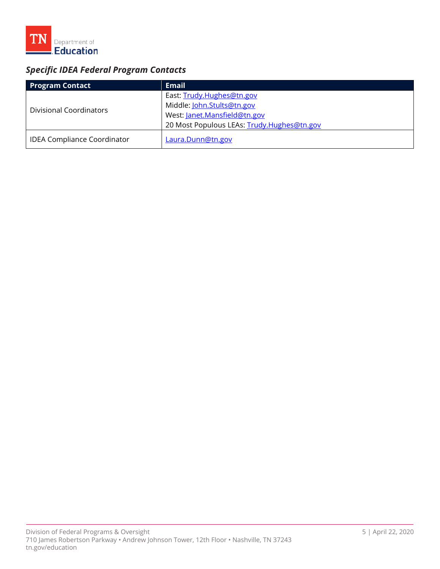

# *Specific IDEA Federal Program Contacts*

| <b>Program Contact</b>             | <b>Email</b>                               |
|------------------------------------|--------------------------------------------|
| Divisional Coordinators            | East: Trudy.Hughes@tn.gov                  |
|                                    | Middle: John.Stults@tn.gov                 |
|                                    | West: Janet.Mansfield@tn.gov               |
|                                    | 20 Most Populous LEAs: Trudy.Hughes@tn.gov |
| <b>IDEA Compliance Coordinator</b> | Laura.Dunn@tn.gov                          |